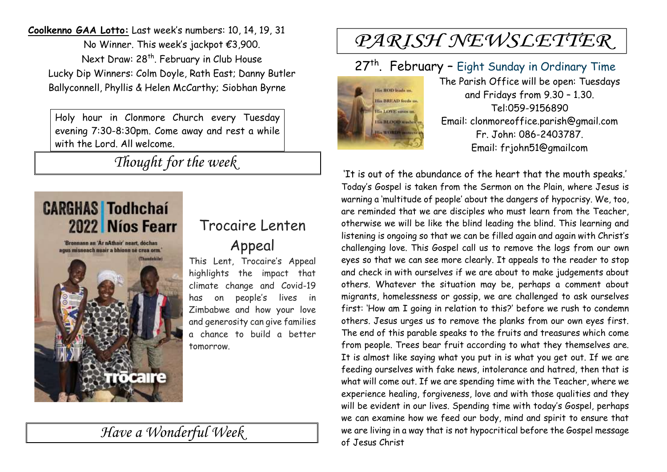**Coolkenno GAA Lotto:** Last week's numbers: 10, 14, 19, 31 No Winner. This week's jackpot €3,900. Next Draw: 28<sup>th</sup>. February in Club House Lucky Dip Winners: Colm Doyle, Rath East; Danny Butler Ballyconnell, Phyllis & Helen McCarthy; Siobhan Byrne

Holy hour in Clonmore Church every Tuesday evening 7:30-8:30pm. Come away and rest a while with the Lord. All welcome.

*Thought for the week*



'Bronnann an 'Ar nAthair' neart, dochas agus misneach nuair a bhionn sé crua orm. rocare

### Trocaire Lenten

Appeal

This Lent, Trocaire's Appeal highlights the impact that climate change and Covid-19 has on people's lives in Zimbabwe and how your love and generosity can give families a chance to build a better tomorrow.

*Have a Wonderful Week* 

# PARISH NEWSLETTER

# 27<sup>th</sup>. February - Eight Sunday in Ordinary Time



The Parish Office will be open: Tuesdays and Fridays from 9.30 – 1.30. Tel:059-9156890 Email: clonmoreoffice.parish@gmail.com Fr. John: 086-2403787. Email: frjohn51@gmailcom

'It is out of the abundance of the heart that the mouth speaks.' Today's Gospel is taken from the Sermon on the Plain, where Jesus is warning a 'multitude of people' about the dangers of hypocrisy. We, too, are reminded that we are disciples who must learn from the Teacher, otherwise we will be like the blind leading the blind. This learning and listening is ongoing so that we can be filled again and again with Christ's challenging love. This Gospel call us to remove the logs from our own eyes so that we can see more clearly. It appeals to the reader to stop and check in with ourselves if we are about to make judgements about others. Whatever the situation may be, perhaps a comment about migrants, homelessness or gossip, we are challenged to ask ourselves first: 'How am I going in relation to this?' before we rush to condemn others. Jesus urges us to remove the planks from our own eyes first. The end of this parable speaks to the fruits and treasures which come from people. Trees bear fruit according to what they themselves are. It is almost like saying what you put in is what you get out. If we are feeding ourselves with fake news, intolerance and hatred, then that is what will come out. If we are spending time with the Teacher, where we experience healing, forgiveness, love and with those qualities and they will be evident in our lives. Spending time with today's Gospel, perhaps we can examine how we feed our body, mind and spirit to ensure that we are living in a way that is not hypocritical before the Gospel message of Jesus Christ